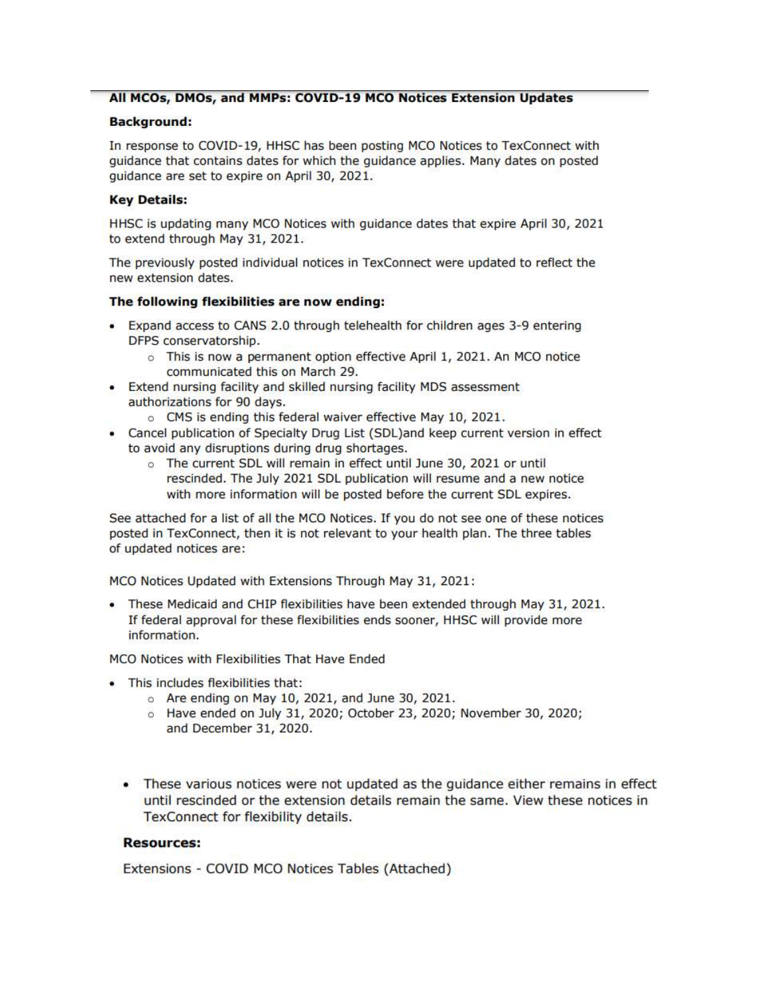## All MCOs, DMOs, and MMPs: COVID-19 MCO Notices Extension Updates

## **Background:**

In response to COVID-19, HHSC has been posting MCO Notices to TexConnect with guidance that contains dates for which the guidance applies. Many dates on posted guidance are set to expire on April 30, 2021.

#### **Key Details:**

HHSC is updating many MCO Notices with guidance dates that expire April 30, 2021 to extend through May 31, 2021.

The previously posted individual notices in TexConnect were updated to reflect the new extension dates.

#### The following flexibilities are now ending:

- Expand access to CANS 2.0 through telehealth for children ages 3-9 entering DFPS conservatorship.
	- o This is now a permanent option effective April 1, 2021. An MCO notice communicated this on March 29.
- Extend nursing facility and skilled nursing facility MDS assessment authorizations for 90 days.
	- o CMS is ending this federal waiver effective May 10, 2021.
- Cancel publication of Specialty Drug List (SDL)and keep current version in effect to avoid any disruptions during drug shortages.
	- o The current SDL will remain in effect until June 30, 2021 or until rescinded. The July 2021 SDL publication will resume and a new notice with more information will be posted before the current SDL expires.

See attached for a list of all the MCO Notices. If you do not see one of these notices posted in TexConnect, then it is not relevant to your health plan. The three tables of updated notices are:

MCO Notices Updated with Extensions Through May 31, 2021:

. These Medicaid and CHIP flexibilities have been extended through May 31, 2021. If federal approval for these flexibilities ends sooner, HHSC will provide more information.

MCO Notices with Flexibilities That Have Ended

- This includes flexibilities that:
	- o Are ending on May 10, 2021, and June 30, 2021.
	- 6 Have ended on July 31, 2020; October 23, 2020; November 30, 2020; and December 31, 2020.
	- These various notices were not updated as the guidance either remains in effect until rescinded or the extension details remain the same. View these notices in TexConnect for flexibility details.

#### **Resources:**

Extensions - COVID MCO Notices Tables (Attached)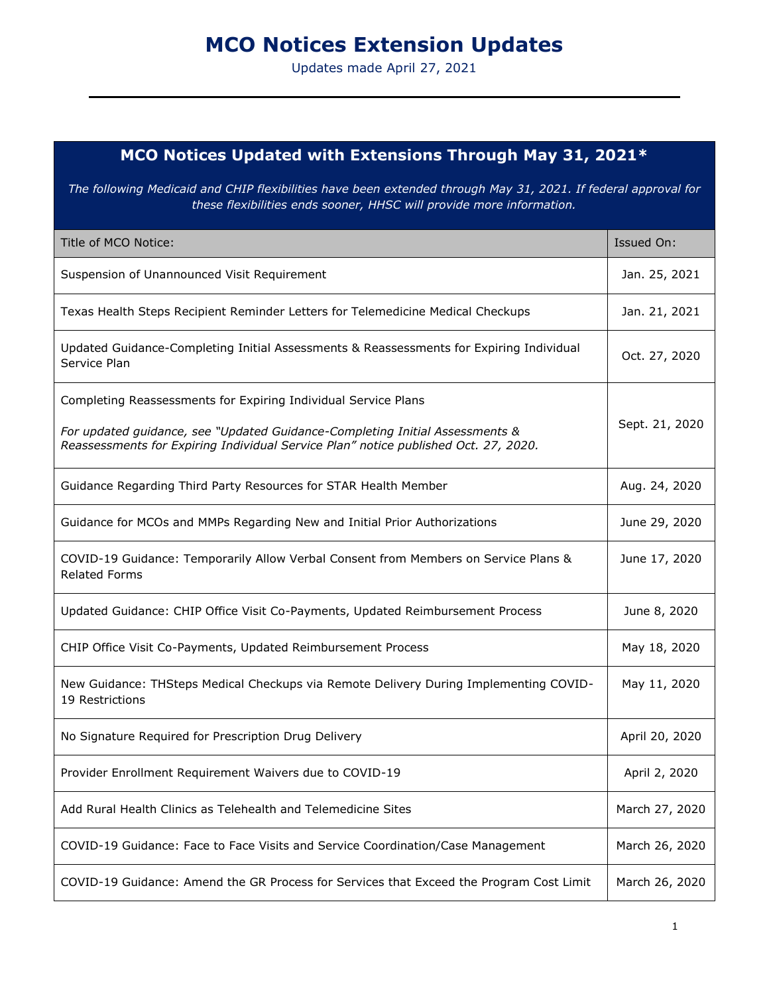# **MCO Notices Extension Updates**

Updates made April 27, 2021

# **MCO Notices Updated with Extensions Through May 31, 2021\***

*The following Medicaid and CHIP flexibilities have been extended through May 31, 2021. If federal approval for these flexibilities ends sooner, HHSC will provide more information.*

| Title of MCO Notice:                                                                                                                                                | Issued On:     |
|---------------------------------------------------------------------------------------------------------------------------------------------------------------------|----------------|
| Suspension of Unannounced Visit Requirement                                                                                                                         | Jan. 25, 2021  |
| Texas Health Steps Recipient Reminder Letters for Telemedicine Medical Checkups                                                                                     | Jan. 21, 2021  |
| Updated Guidance-Completing Initial Assessments & Reassessments for Expiring Individual<br>Service Plan                                                             | Oct. 27, 2020  |
| Completing Reassessments for Expiring Individual Service Plans                                                                                                      |                |
| For updated guidance, see "Updated Guidance-Completing Initial Assessments &<br>Reassessments for Expiring Individual Service Plan" notice published Oct. 27, 2020. | Sept. 21, 2020 |
| Guidance Regarding Third Party Resources for STAR Health Member                                                                                                     | Aug. 24, 2020  |
| Guidance for MCOs and MMPs Regarding New and Initial Prior Authorizations                                                                                           | June 29, 2020  |
| COVID-19 Guidance: Temporarily Allow Verbal Consent from Members on Service Plans &<br><b>Related Forms</b>                                                         | June 17, 2020  |
| Updated Guidance: CHIP Office Visit Co-Payments, Updated Reimbursement Process                                                                                      | June 8, 2020   |
| CHIP Office Visit Co-Payments, Updated Reimbursement Process                                                                                                        | May 18, 2020   |
| New Guidance: THSteps Medical Checkups via Remote Delivery During Implementing COVID-<br>19 Restrictions                                                            | May 11, 2020   |
| No Signature Required for Prescription Drug Delivery                                                                                                                | April 20, 2020 |
| Provider Enrollment Requirement Waivers due to COVID-19                                                                                                             | April 2, 2020  |
| Add Rural Health Clinics as Telehealth and Telemedicine Sites                                                                                                       | March 27, 2020 |
| COVID-19 Guidance: Face to Face Visits and Service Coordination/Case Management                                                                                     | March 26, 2020 |
| COVID-19 Guidance: Amend the GR Process for Services that Exceed the Program Cost Limit                                                                             | March 26, 2020 |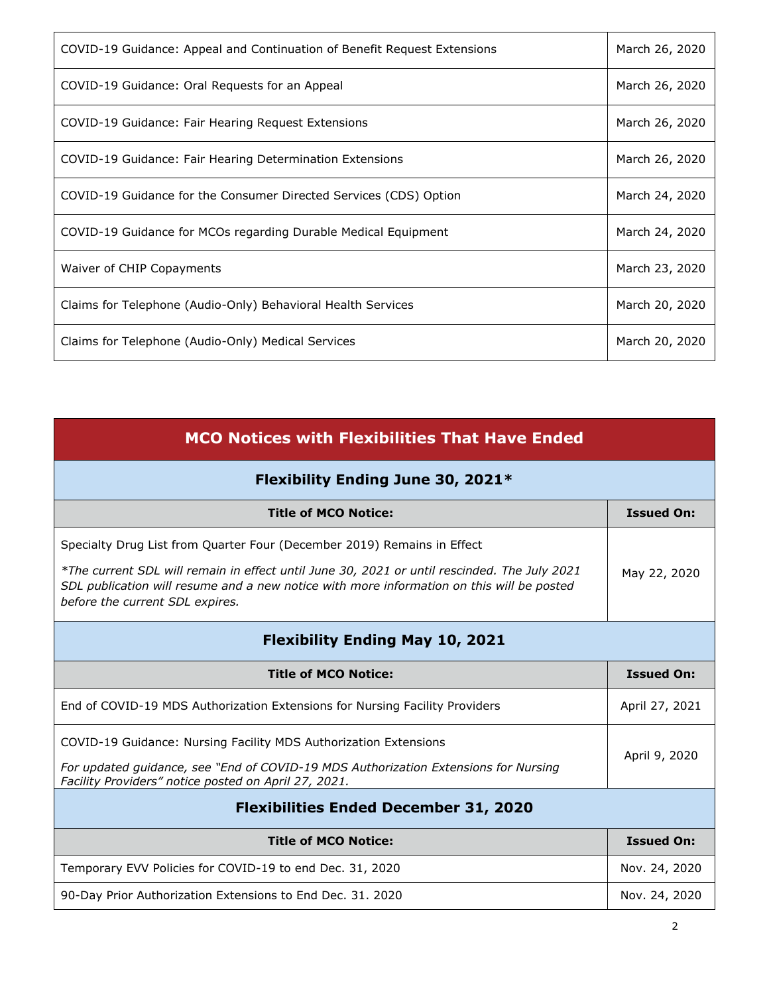| COVID-19 Guidance: Appeal and Continuation of Benefit Request Extensions | March 26, 2020 |
|--------------------------------------------------------------------------|----------------|
| COVID-19 Guidance: Oral Requests for an Appeal                           | March 26, 2020 |
| COVID-19 Guidance: Fair Hearing Request Extensions                       | March 26, 2020 |
| COVID-19 Guidance: Fair Hearing Determination Extensions                 | March 26, 2020 |
| COVID-19 Guidance for the Consumer Directed Services (CDS) Option        | March 24, 2020 |
| COVID-19 Guidance for MCOs regarding Durable Medical Equipment           | March 24, 2020 |
| Waiver of CHIP Copayments                                                | March 23, 2020 |
| Claims for Telephone (Audio-Only) Behavioral Health Services             | March 20, 2020 |
| Claims for Telephone (Audio-Only) Medical Services                       | March 20, 2020 |

| <b>MCO Notices with Flexibilities That Have Ended</b>                                                                                                                                                                        |                   |
|------------------------------------------------------------------------------------------------------------------------------------------------------------------------------------------------------------------------------|-------------------|
| Flexibility Ending June 30, 2021*                                                                                                                                                                                            |                   |
| <b>Title of MCO Notice:</b>                                                                                                                                                                                                  | <b>Issued On:</b> |
| Specialty Drug List from Quarter Four (December 2019) Remains in Effect                                                                                                                                                      |                   |
| *The current SDL will remain in effect until June 30, 2021 or until rescinded. The July 2021<br>SDL publication will resume and a new notice with more information on this will be posted<br>before the current SDL expires. | May 22, 2020      |
| <b>Flexibility Ending May 10, 2021</b>                                                                                                                                                                                       |                   |
| <b>Title of MCO Notice:</b>                                                                                                                                                                                                  | <b>Issued On:</b> |
|                                                                                                                                                                                                                              |                   |
| End of COVID-19 MDS Authorization Extensions for Nursing Facility Providers                                                                                                                                                  | April 27, 2021    |
| COVID-19 Guidance: Nursing Facility MDS Authorization Extensions<br>For updated guidance, see "End of COVID-19 MDS Authorization Extensions for Nursing<br>Facility Providers" notice posted on April 27, 2021.              | April 9, 2020     |
| <b>Flexibilities Ended December 31, 2020</b>                                                                                                                                                                                 |                   |
| <b>Title of MCO Notice:</b>                                                                                                                                                                                                  | <b>Issued On:</b> |
| Temporary EVV Policies for COVID-19 to end Dec. 31, 2020                                                                                                                                                                     | Nov. 24, 2020     |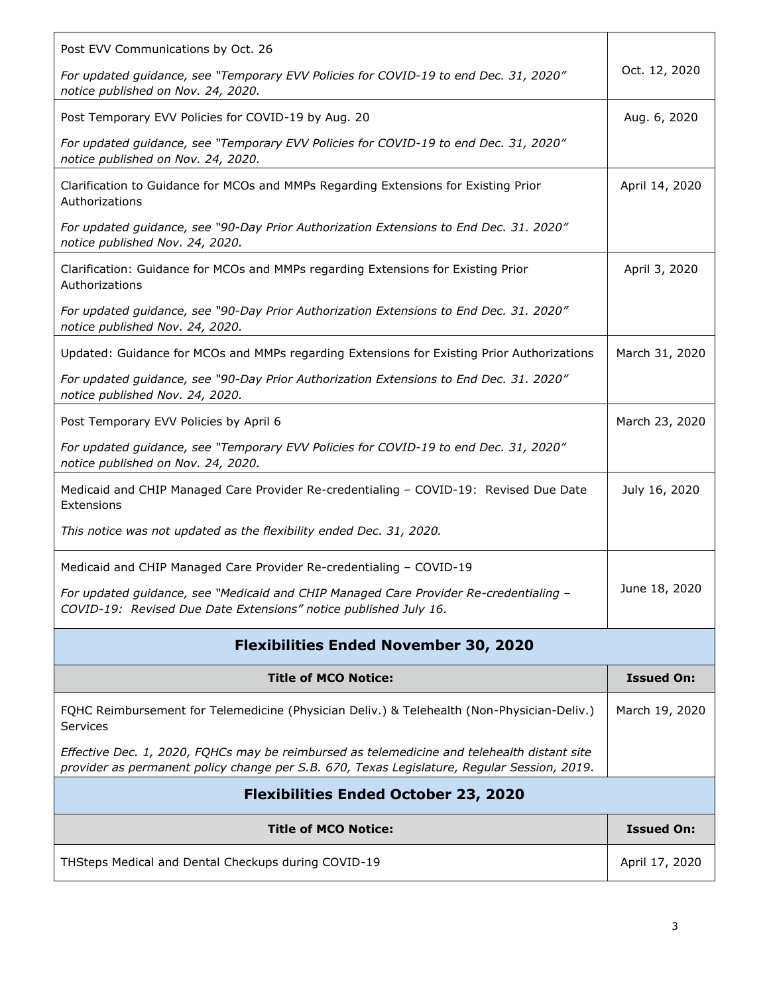| Post EVV Communications by Oct. 26                                                                                                                                                         |                   |
|--------------------------------------------------------------------------------------------------------------------------------------------------------------------------------------------|-------------------|
| For updated guidance, see "Temporary EVV Policies for COVID-19 to end Dec. 31, 2020"<br>notice published on Nov. 24, 2020.                                                                 | Oct. 12, 2020     |
| Post Temporary EVV Policies for COVID-19 by Aug. 20                                                                                                                                        | Aug. 6, 2020      |
| For updated guidance, see "Temporary EVV Policies for COVID-19 to end Dec. 31, 2020"<br>notice published on Nov. 24, 2020.                                                                 |                   |
| Clarification to Guidance for MCOs and MMPs Regarding Extensions for Existing Prior<br>Authorizations                                                                                      | April 14, 2020    |
| For updated guidance, see "90-Day Prior Authorization Extensions to End Dec. 31. 2020"<br>notice published Nov. 24, 2020.                                                                  |                   |
| Clarification: Guidance for MCOs and MMPs regarding Extensions for Existing Prior<br>Authorizations                                                                                        | April 3, 2020     |
| For updated guidance, see "90-Day Prior Authorization Extensions to End Dec. 31. 2020"<br>notice published Nov. 24, 2020.                                                                  |                   |
| Updated: Guidance for MCOs and MMPs regarding Extensions for Existing Prior Authorizations                                                                                                 | March 31, 2020    |
| For updated guidance, see "90-Day Prior Authorization Extensions to End Dec. 31. 2020"<br>notice published Nov. 24, 2020.                                                                  |                   |
| Post Temporary EVV Policies by April 6                                                                                                                                                     | March 23, 2020    |
| For updated guidance, see "Temporary EVV Policies for COVID-19 to end Dec. 31, 2020"<br>notice published on Nov. 24, 2020.                                                                 |                   |
| Medicaid and CHIP Managed Care Provider Re-credentialing - COVID-19: Revised Due Date<br>Extensions                                                                                        | July 16, 2020     |
| This notice was not updated as the flexibility ended Dec. 31, 2020.                                                                                                                        |                   |
| Medicaid and CHIP Managed Care Provider Re-credentialing - COVID-19                                                                                                                        |                   |
| For updated guidance, see "Medicaid and CHIP Managed Care Provider Re-credentialing –<br>COVID-19: Revised Due Date Extensions" notice published July 16.                                  | June 18, 2020     |
| <b>Flexibilities Ended November 30, 2020</b>                                                                                                                                               |                   |
| <b>Title of MCO Notice:</b>                                                                                                                                                                | <b>Issued On:</b> |
| FQHC Reimbursement for Telemedicine (Physician Deliv.) & Telehealth (Non-Physician-Deliv.)<br>Services                                                                                     | March 19, 2020    |
| Effective Dec. 1, 2020, FQHCs may be reimbursed as telemedicine and telehealth distant site<br>provider as permanent policy change per S.B. 670, Texas Legislature, Regular Session, 2019. |                   |
| <b>Flexibilities Ended October 23, 2020</b>                                                                                                                                                |                   |
| <b>Title of MCO Notice:</b>                                                                                                                                                                | <b>Issued On:</b> |
|                                                                                                                                                                                            |                   |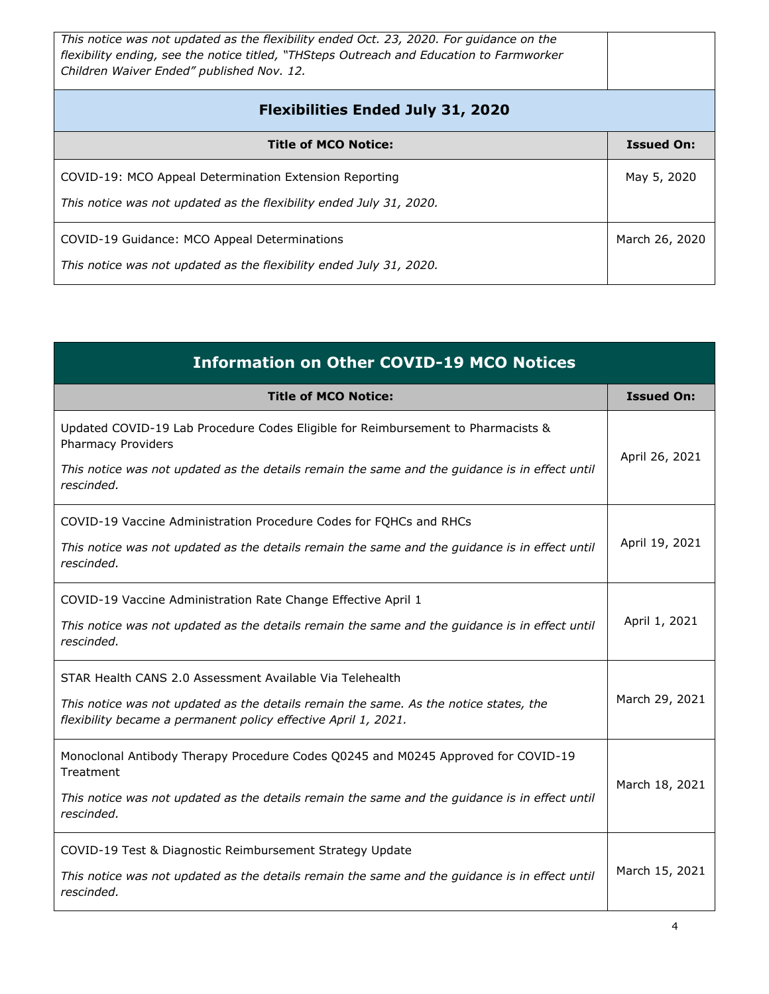| This notice was not updated as the flexibility ended Oct. 23, 2020. For quidance on the<br>flexibility ending, see the notice titled, "THSteps Outreach and Education to Farmworker<br>Children Waiver Ended" published Nov. 12. |                   |
|----------------------------------------------------------------------------------------------------------------------------------------------------------------------------------------------------------------------------------|-------------------|
| <b>Flexibilities Ended July 31, 2020</b>                                                                                                                                                                                         |                   |
| <b>Title of MCO Notice:</b>                                                                                                                                                                                                      | <b>Issued On:</b> |
| COVID-19: MCO Appeal Determination Extension Reporting<br>This notice was not updated as the flexibility ended July 31, 2020.                                                                                                    | May 5, 2020       |
| COVID-19 Guidance: MCO Appeal Determinations<br>This notice was not updated as the flexibility ended July 31, 2020.                                                                                                              | March 26, 2020    |

| <b>Information on Other COVID-19 MCO Notices</b>                                                                                                        |                   |
|---------------------------------------------------------------------------------------------------------------------------------------------------------|-------------------|
| <b>Title of MCO Notice:</b>                                                                                                                             | <b>Issued On:</b> |
| Updated COVID-19 Lab Procedure Codes Eligible for Reimbursement to Pharmacists &<br><b>Pharmacy Providers</b>                                           | April 26, 2021    |
| This notice was not updated as the details remain the same and the guidance is in effect until<br>rescinded.                                            |                   |
| COVID-19 Vaccine Administration Procedure Codes for FQHCs and RHCs                                                                                      |                   |
| This notice was not updated as the details remain the same and the guidance is in effect until<br>rescinded.                                            | April 19, 2021    |
| COVID-19 Vaccine Administration Rate Change Effective April 1                                                                                           |                   |
| This notice was not updated as the details remain the same and the guidance is in effect until<br>rescinded.                                            | April 1, 2021     |
| STAR Health CANS 2.0 Assessment Available Via Telehealth                                                                                                |                   |
| This notice was not updated as the details remain the same. As the notice states, the<br>flexibility became a permanent policy effective April 1, 2021. | March 29, 2021    |
| Monoclonal Antibody Therapy Procedure Codes Q0245 and M0245 Approved for COVID-19<br>Treatment                                                          | March 18, 2021    |
| This notice was not updated as the details remain the same and the guidance is in effect until<br>rescinded.                                            |                   |
| COVID-19 Test & Diagnostic Reimbursement Strategy Update                                                                                                |                   |
| This notice was not updated as the details remain the same and the guidance is in effect until<br>rescinded.                                            | March 15, 2021    |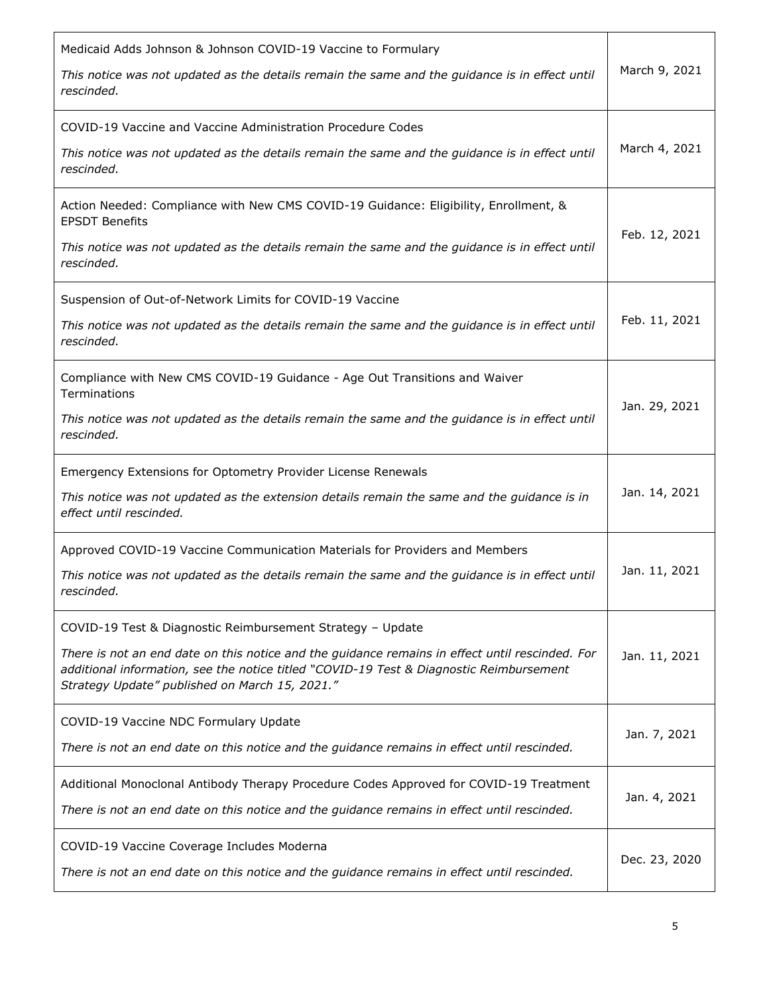| Medicaid Adds Johnson & Johnson COVID-19 Vaccine to Formulary                                                                                                                                                                                |               |
|----------------------------------------------------------------------------------------------------------------------------------------------------------------------------------------------------------------------------------------------|---------------|
| This notice was not updated as the details remain the same and the guidance is in effect until<br>rescinded.                                                                                                                                 | March 9, 2021 |
| COVID-19 Vaccine and Vaccine Administration Procedure Codes                                                                                                                                                                                  |               |
| This notice was not updated as the details remain the same and the guidance is in effect until<br>rescinded.                                                                                                                                 | March 4, 2021 |
| Action Needed: Compliance with New CMS COVID-19 Guidance: Eligibility, Enrollment, &<br><b>EPSDT Benefits</b>                                                                                                                                |               |
| This notice was not updated as the details remain the same and the guidance is in effect until<br>rescinded.                                                                                                                                 | Feb. 12, 2021 |
| Suspension of Out-of-Network Limits for COVID-19 Vaccine                                                                                                                                                                                     |               |
| This notice was not updated as the details remain the same and the guidance is in effect until<br>rescinded.                                                                                                                                 | Feb. 11, 2021 |
| Compliance with New CMS COVID-19 Guidance - Age Out Transitions and Waiver<br>Terminations                                                                                                                                                   |               |
| This notice was not updated as the details remain the same and the guidance is in effect until<br>rescinded.                                                                                                                                 | Jan. 29, 2021 |
|                                                                                                                                                                                                                                              |               |
| Emergency Extensions for Optometry Provider License Renewals                                                                                                                                                                                 |               |
| This notice was not updated as the extension details remain the same and the guidance is in<br>effect until rescinded.                                                                                                                       | Jan. 14, 2021 |
| Approved COVID-19 Vaccine Communication Materials for Providers and Members                                                                                                                                                                  |               |
| This notice was not updated as the details remain the same and the guidance is in effect until<br>rescinded.                                                                                                                                 | Jan. 11, 2021 |
| COVID-19 Test & Diagnostic Reimbursement Strategy - Update                                                                                                                                                                                   |               |
| There is not an end date on this notice and the guidance remains in effect until rescinded. For<br>additional information, see the notice titled "COVID-19 Test & Diagnostic Reimbursement<br>Strategy Update" published on March 15, 2021." | Jan. 11, 2021 |
| COVID-19 Vaccine NDC Formulary Update                                                                                                                                                                                                        |               |
| There is not an end date on this notice and the guidance remains in effect until rescinded.                                                                                                                                                  | Jan. 7, 2021  |
| Additional Monoclonal Antibody Therapy Procedure Codes Approved for COVID-19 Treatment                                                                                                                                                       | Jan. 4, 2021  |
| There is not an end date on this notice and the guidance remains in effect until rescinded.<br>COVID-19 Vaccine Coverage Includes Moderna                                                                                                    |               |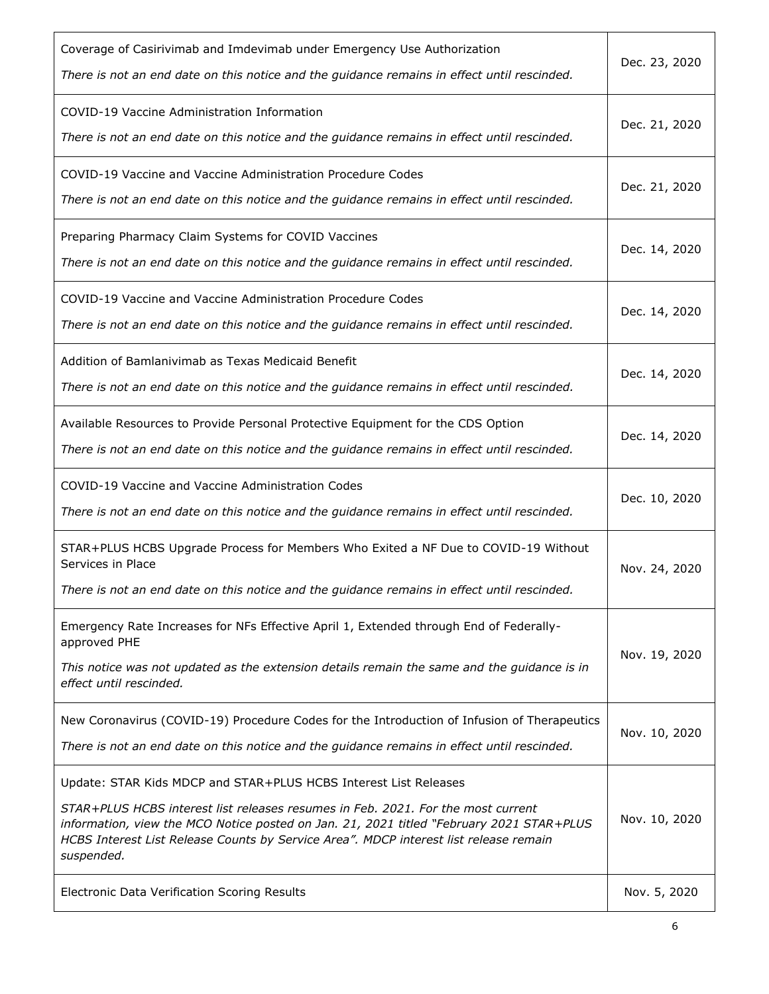| Coverage of Casirivimab and Imdevimab under Emergency Use Authorization<br>There is not an end date on this notice and the guidance remains in effect until rescinded.                                                                                                                                                                                                                                  | Dec. 23, 2020                 |
|---------------------------------------------------------------------------------------------------------------------------------------------------------------------------------------------------------------------------------------------------------------------------------------------------------------------------------------------------------------------------------------------------------|-------------------------------|
| COVID-19 Vaccine Administration Information<br>There is not an end date on this notice and the guidance remains in effect until rescinded.                                                                                                                                                                                                                                                              | Dec. 21, 2020                 |
| COVID-19 Vaccine and Vaccine Administration Procedure Codes<br>There is not an end date on this notice and the guidance remains in effect until rescinded.                                                                                                                                                                                                                                              | Dec. 21, 2020                 |
| Preparing Pharmacy Claim Systems for COVID Vaccines<br>There is not an end date on this notice and the guidance remains in effect until rescinded.                                                                                                                                                                                                                                                      | Dec. 14, 2020                 |
| COVID-19 Vaccine and Vaccine Administration Procedure Codes<br>There is not an end date on this notice and the guidance remains in effect until rescinded.                                                                                                                                                                                                                                              | Dec. 14, 2020                 |
| Addition of Bamlanivimab as Texas Medicaid Benefit<br>There is not an end date on this notice and the guidance remains in effect until rescinded.                                                                                                                                                                                                                                                       | Dec. 14, 2020                 |
| Available Resources to Provide Personal Protective Equipment for the CDS Option<br>There is not an end date on this notice and the guidance remains in effect until rescinded.                                                                                                                                                                                                                          | Dec. 14, 2020                 |
| COVID-19 Vaccine and Vaccine Administration Codes<br>There is not an end date on this notice and the guidance remains in effect until rescinded.                                                                                                                                                                                                                                                        | Dec. 10, 2020                 |
| STAR+PLUS HCBS Upgrade Process for Members Who Exited a NF Due to COVID-19 Without<br>Services in Place<br>There is not an end date on this notice and the guidance remains in effect until rescinded.                                                                                                                                                                                                  | Nov. 24, 2020                 |
| Emergency Rate Increases for NFs Effective April 1, Extended through End of Federally-<br>approved PHE<br>This notice was not updated as the extension details remain the same and the guidance is in                                                                                                                                                                                                   | Nov. 19, 2020                 |
| effect until rescinded.                                                                                                                                                                                                                                                                                                                                                                                 |                               |
| New Coronavirus (COVID-19) Procedure Codes for the Introduction of Infusion of Therapeutics<br>There is not an end date on this notice and the guidance remains in effect until rescinded.                                                                                                                                                                                                              | Nov. 10, 2020                 |
| Update: STAR Kids MDCP and STAR+PLUS HCBS Interest List Releases<br>STAR+PLUS HCBS interest list releases resumes in Feb. 2021. For the most current<br>information, view the MCO Notice posted on Jan. 21, 2021 titled "February 2021 STAR+PLUS<br>HCBS Interest List Release Counts by Service Area". MDCP interest list release remain<br>suspended.<br>Electronic Data Verification Scoring Results | Nov. 10, 2020<br>Nov. 5, 2020 |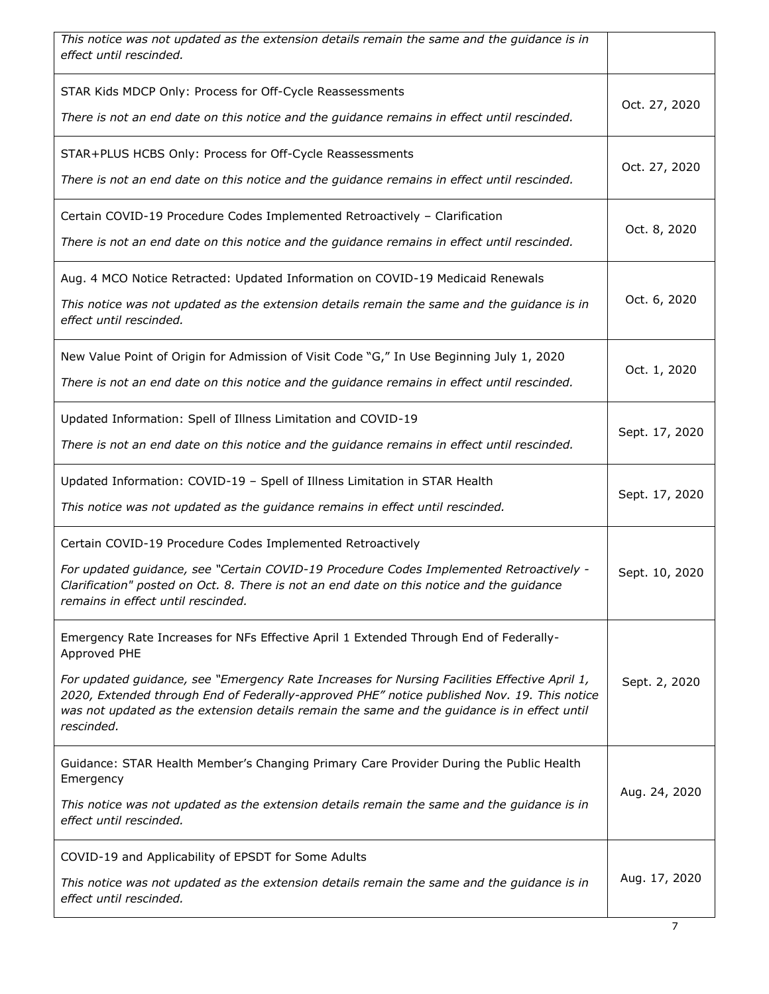| This notice was not updated as the extension details remain the same and the guidance is in<br>effect until rescinded.                                                                                                                                                                                     |                |
|------------------------------------------------------------------------------------------------------------------------------------------------------------------------------------------------------------------------------------------------------------------------------------------------------------|----------------|
| STAR Kids MDCP Only: Process for Off-Cycle Reassessments<br>There is not an end date on this notice and the guidance remains in effect until rescinded.                                                                                                                                                    | Oct. 27, 2020  |
|                                                                                                                                                                                                                                                                                                            |                |
| STAR+PLUS HCBS Only: Process for Off-Cycle Reassessments<br>There is not an end date on this notice and the guidance remains in effect until rescinded.                                                                                                                                                    | Oct. 27, 2020  |
| Certain COVID-19 Procedure Codes Implemented Retroactively - Clarification                                                                                                                                                                                                                                 | Oct. 8, 2020   |
| There is not an end date on this notice and the guidance remains in effect until rescinded.                                                                                                                                                                                                                |                |
| Aug. 4 MCO Notice Retracted: Updated Information on COVID-19 Medicaid Renewals<br>This notice was not updated as the extension details remain the same and the guidance is in<br>effect until rescinded.                                                                                                   | Oct. 6, 2020   |
| New Value Point of Origin for Admission of Visit Code "G," In Use Beginning July 1, 2020<br>There is not an end date on this notice and the guidance remains in effect until rescinded.                                                                                                                    | Oct. 1, 2020   |
| Updated Information: Spell of Illness Limitation and COVID-19<br>There is not an end date on this notice and the guidance remains in effect until rescinded.                                                                                                                                               | Sept. 17, 2020 |
| Updated Information: COVID-19 - Spell of Illness Limitation in STAR Health<br>This notice was not updated as the guidance remains in effect until rescinded.                                                                                                                                               | Sept. 17, 2020 |
| Certain COVID-19 Procedure Codes Implemented Retroactively                                                                                                                                                                                                                                                 |                |
| For updated guidance, see "Certain COVID-19 Procedure Codes Implemented Retroactively -<br>Clarification" posted on Oct. 8. There is not an end date on this notice and the guidance<br>remains in effect until rescinded.                                                                                 | Sept. 10, 2020 |
| Emergency Rate Increases for NFs Effective April 1 Extended Through End of Federally-<br>Approved PHE                                                                                                                                                                                                      |                |
| For updated guidance, see "Emergency Rate Increases for Nursing Facilities Effective April 1,<br>2020, Extended through End of Federally-approved PHE" notice published Nov. 19. This notice<br>was not updated as the extension details remain the same and the guidance is in effect until<br>rescinded. | Sept. 2, 2020  |
| Guidance: STAR Health Member's Changing Primary Care Provider During the Public Health<br>Emergency                                                                                                                                                                                                        | Aug. 24, 2020  |
| This notice was not updated as the extension details remain the same and the guidance is in<br>effect until rescinded.                                                                                                                                                                                     |                |
| COVID-19 and Applicability of EPSDT for Some Adults                                                                                                                                                                                                                                                        |                |
| This notice was not updated as the extension details remain the same and the guidance is in<br>effect until rescinded.                                                                                                                                                                                     | Aug. 17, 2020  |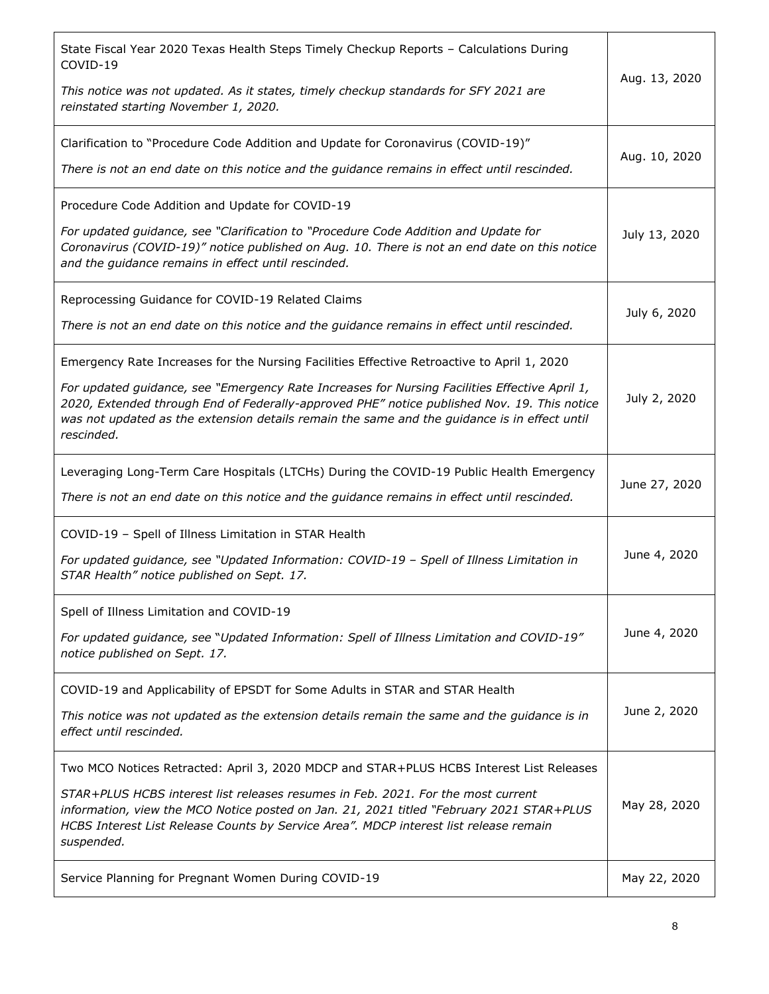| State Fiscal Year 2020 Texas Health Steps Timely Checkup Reports - Calculations During<br>COVID-19<br>This notice was not updated. As it states, timely checkup standards for SFY 2021 are<br>reinstated starting November 1, 2020.                                                                                                                                                                      | Aug. 13, 2020 |
|----------------------------------------------------------------------------------------------------------------------------------------------------------------------------------------------------------------------------------------------------------------------------------------------------------------------------------------------------------------------------------------------------------|---------------|
| Clarification to "Procedure Code Addition and Update for Coronavirus (COVID-19)"<br>There is not an end date on this notice and the guidance remains in effect until rescinded.                                                                                                                                                                                                                          | Aug. 10, 2020 |
| Procedure Code Addition and Update for COVID-19<br>For updated guidance, see "Clarification to "Procedure Code Addition and Update for<br>Coronavirus (COVID-19)" notice published on Aug. 10. There is not an end date on this notice<br>and the guidance remains in effect until rescinded.                                                                                                            | July 13, 2020 |
| Reprocessing Guidance for COVID-19 Related Claims<br>There is not an end date on this notice and the guidance remains in effect until rescinded.                                                                                                                                                                                                                                                         | July 6, 2020  |
| Emergency Rate Increases for the Nursing Facilities Effective Retroactive to April 1, 2020<br>For updated guidance, see "Emergency Rate Increases for Nursing Facilities Effective April 1,<br>2020, Extended through End of Federally-approved PHE" notice published Nov. 19. This notice<br>was not updated as the extension details remain the same and the guidance is in effect until<br>rescinded. | July 2, 2020  |
| Leveraging Long-Term Care Hospitals (LTCHs) During the COVID-19 Public Health Emergency<br>There is not an end date on this notice and the guidance remains in effect until rescinded.                                                                                                                                                                                                                   | June 27, 2020 |
| COVID-19 - Spell of Illness Limitation in STAR Health<br>For updated guidance, see "Updated Information: COVID-19 - Spell of Illness Limitation in<br>STAR Health" notice published on Sept. 17.                                                                                                                                                                                                         | June 4, 2020  |
| Spell of Illness Limitation and COVID-19<br>For updated guidance, see "Updated Information: Spell of Illness Limitation and COVID-19"<br>notice published on Sept. 17.                                                                                                                                                                                                                                   | June 4, 2020  |
| COVID-19 and Applicability of EPSDT for Some Adults in STAR and STAR Health<br>This notice was not updated as the extension details remain the same and the guidance is in<br>effect until rescinded.                                                                                                                                                                                                    | June 2, 2020  |
| Two MCO Notices Retracted: April 3, 2020 MDCP and STAR+PLUS HCBS Interest List Releases<br>STAR+PLUS HCBS interest list releases resumes in Feb. 2021. For the most current<br>information, view the MCO Notice posted on Jan. 21, 2021 titled "February 2021 STAR+PLUS<br>HCBS Interest List Release Counts by Service Area". MDCP interest list release remain<br>suspended.                           | May 28, 2020  |
| Service Planning for Pregnant Women During COVID-19                                                                                                                                                                                                                                                                                                                                                      | May 22, 2020  |